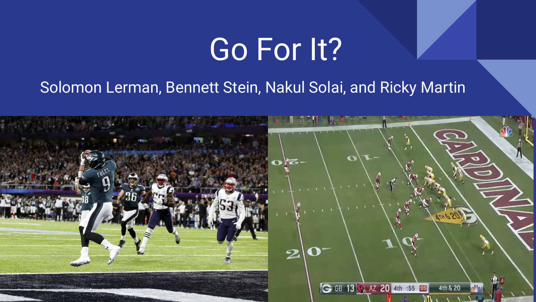# Go For It?

#### Solomon Lerman, Bennett Stein, Nakul Solai, and Ricky Martin

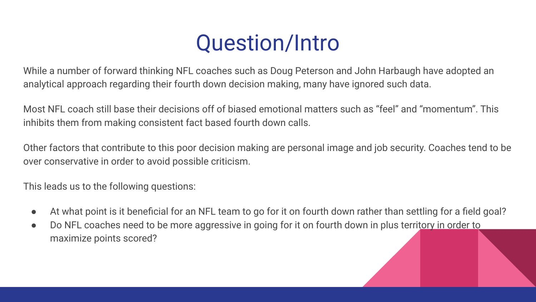#### Question/Intro

While a number of forward thinking NFL coaches such as Doug Peterson and John Harbaugh have adopted an analytical approach regarding their fourth down decision making, many have ignored such data.

Most NFL coach still base their decisions off of biased emotional matters such as "feel" and "momentum". This inhibits them from making consistent fact based fourth down calls.

Other factors that contribute to this poor decision making are personal image and job security. Coaches tend to be over conservative in order to avoid possible criticism.

This leads us to the following questions:

- At what point is it beneficial for an NFL team to go for it on fourth down rather than settling for a field goal?
- Do NFL coaches need to be more aggressive in going for it on fourth down in plus territory in order to maximize points scored?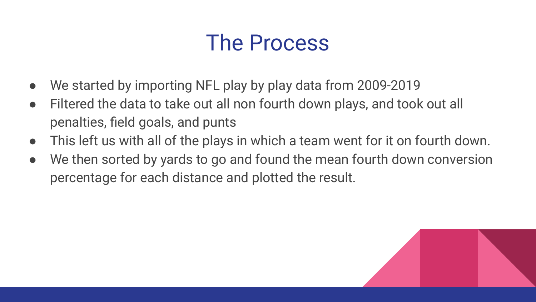#### The Process

- We started by importing NFL play by play data from 2009-2019
- Filtered the data to take out all non fourth down plays, and took out all penalties, field goals, and punts
- This left us with all of the plays in which a team went for it on fourth down.
- We then sorted by yards to go and found the mean fourth down conversion percentage for each distance and plotted the result.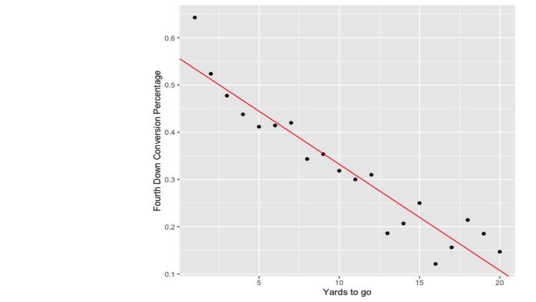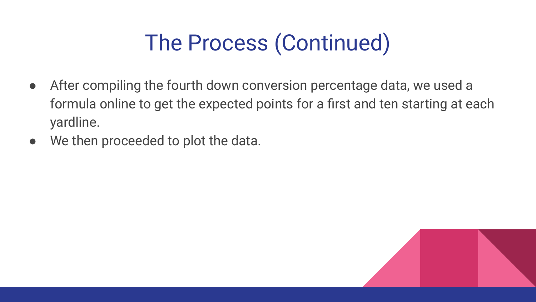## The Process (Continued)

- After compiling the fourth down conversion percentage data, we used a formula online to get the expected points for a first and ten starting at each yardline.
- We then proceeded to plot the data.

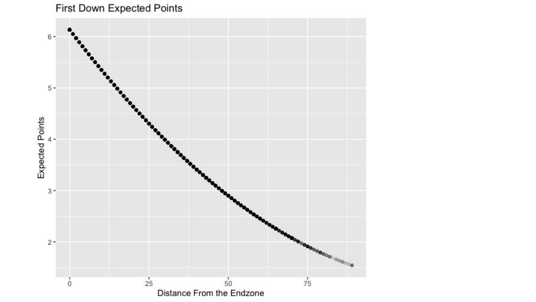

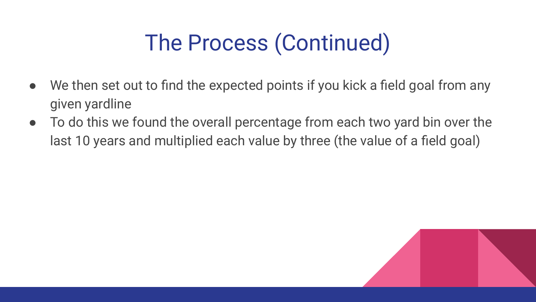## The Process (Continued)

- We then set out to find the expected points if you kick a field goal from any given yardline
- To do this we found the overall percentage from each two yard bin over the last 10 years and multiplied each value by three (the value of a field goal)

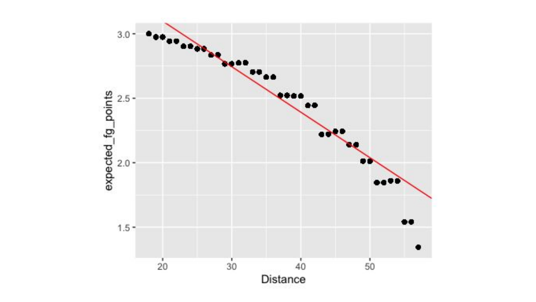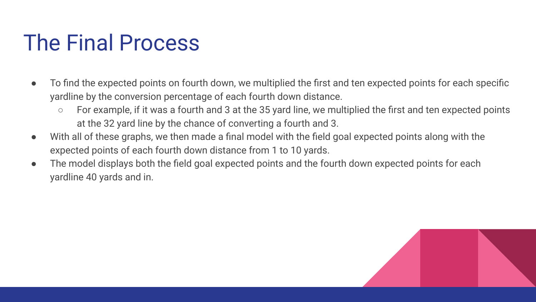#### The Final Process

- To find the expected points on fourth down, we multiplied the first and ten expected points for each specific yardline by the conversion percentage of each fourth down distance.
	- For example, if it was a fourth and 3 at the 35 yard line, we multiplied the first and ten expected points at the 32 yard line by the chance of converting a fourth and 3.
- With all of these graphs, we then made a final model with the field goal expected points along with the expected points of each fourth down distance from 1 to 10 yards.
- The model displays both the field goal expected points and the fourth down expected points for each yardline 40 yards and in.

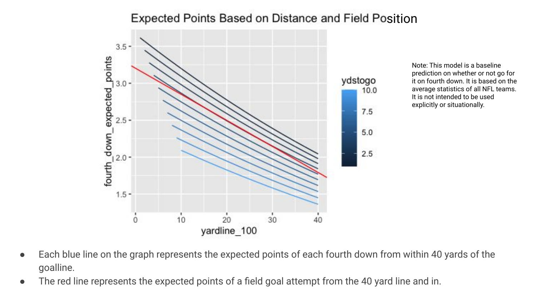#### Expected Points Based on Distance and Field Position



Note: This model is a baseline prediction on whether or not go for it on fourth down. It is based on the average statistics of all NFL teams. It is not intended to be used explicitly or situationally.

- Each blue line on the graph represents the expected points of each fourth down from within 40 yards of the goalline.
- The red line represents the expected points of a field goal attempt from the 40 yard line and in.